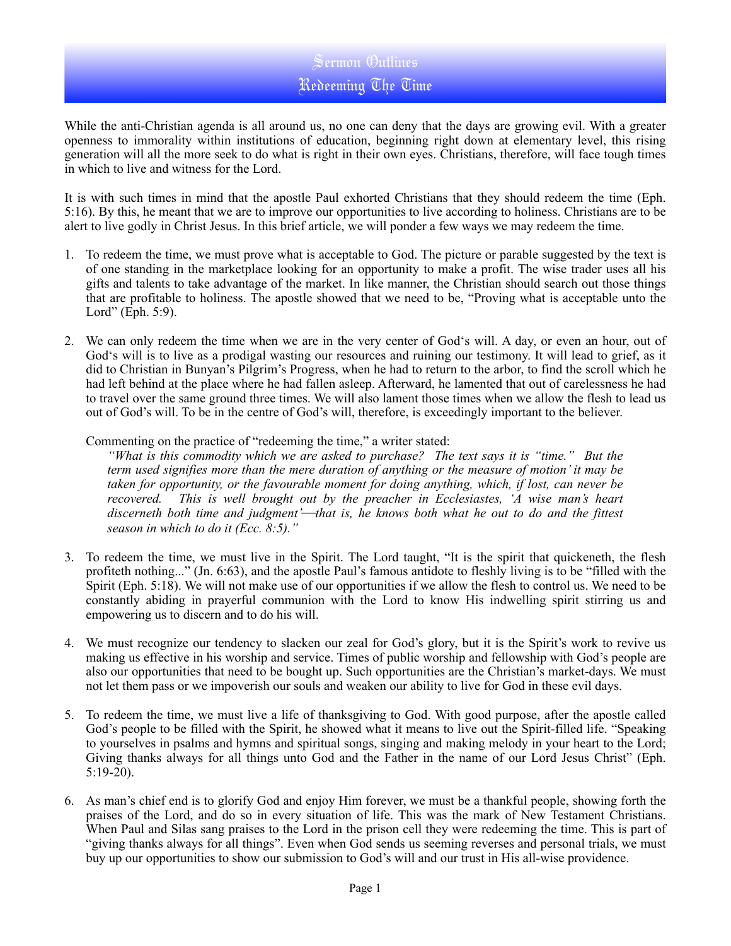## Sermon Outlines Redeeming The Time

While the anti-Christian agenda is all around us, no one can deny that the days are growing evil. With a greater openness to immorality within institutions of education, beginning right down at elementary level, this rising generation will all the more seek to do what is right in their own eyes. Christians, therefore, will face tough times in which to live and witness for the Lord.

It is with such times in mind that the apostle Paul exhorted Christians that they should redeem the time (Eph. 5:16). By this, he meant that we are to improve our opportunities to live according to holiness. Christians are to be alert to live godly in Christ Jesus. In this brief article, we will ponder a few ways we may redeem the time.

- 1. To redeem the time, we must prove what is acceptable to God. The picture or parable suggested by the text is of one standing in the marketplace looking for an opportunity to make a profit. The wise trader uses all his gifts and talents to take advantage of the market. In like manner, the Christian should search out those things that are profitable to holiness. The apostle showed that we need to be, "Proving what is acceptable unto the Lord" (Eph. 5:9).
- 2. We can only redeem the time when we are in the very center of God's will. A day, or even an hour, out of God's will is to live as a prodigal wasting our resources and ruining our testimony. It will lead to grief, as it did to Christian in Bunyan's Pilgrim's Progress, when he had to return to the arbor, to find the scroll which he had left behind at the place where he had fallen asleep. Afterward, he lamented that out of carelessness he had to travel over the same ground three times. We will also lament those times when we allow the flesh to lead us out of God's will. To be in the centre of God's will, therefore, is exceedingly important to the believer.

Commenting on the practice of "redeeming the time," a writer stated:

*"What is this commodity which we are asked to purchase? The text says it is "time." But the term used signifies more than the mere duration of anything or the measure of motion' it may be taken for opportunity, or the favourable moment for doing anything, which, if lost, can never be recovered. This is well brought out by the preacher in Ecclesiastes, 'A wise man's heart*  discerneth both time and judgment'—that is, he knows both what he out to do and the fittest *season in which to do it (Ecc. 8:5)."*

- 3. To redeem the time, we must live in the Spirit. The Lord taught, "It is the spirit that quickeneth, the flesh profiteth nothing..." (Jn. 6:63), and the apostle Paul's famous antidote to fleshly living is to be "filled with the Spirit (Eph. 5:18). We will not make use of our opportunities if we allow the flesh to control us. We need to be constantly abiding in prayerful communion with the Lord to know His indwelling spirit stirring us and empowering us to discern and to do his will.
- 4. We must recognize our tendency to slacken our zeal for God's glory, but it is the Spirit's work to revive us making us effective in his worship and service. Times of public worship and fellowship with God's people are also our opportunities that need to be bought up. Such opportunities are the Christian's market-days. We must not let them pass or we impoverish our souls and weaken our ability to live for God in these evil days.
- 5. To redeem the time, we must live a life of thanksgiving to God. With good purpose, after the apostle called God's people to be filled with the Spirit, he showed what it means to live out the Spirit-filled life. "Speaking to yourselves in psalms and hymns and spiritual songs, singing and making melody in your heart to the Lord; Giving thanks always for all things unto God and the Father in the name of our Lord Jesus Christ" (Eph. 5:19-20).
- 6. As man's chief end is to glorify God and enjoy Him forever, we must be a thankful people, showing forth the praises of the Lord, and do so in every situation of life. This was the mark of New Testament Christians. When Paul and Silas sang praises to the Lord in the prison cell they were redeeming the time. This is part of "giving thanks always for all things". Even when God sends us seeming reverses and personal trials, we must buy up our opportunities to show our submission to God's will and our trust in His all-wise providence.